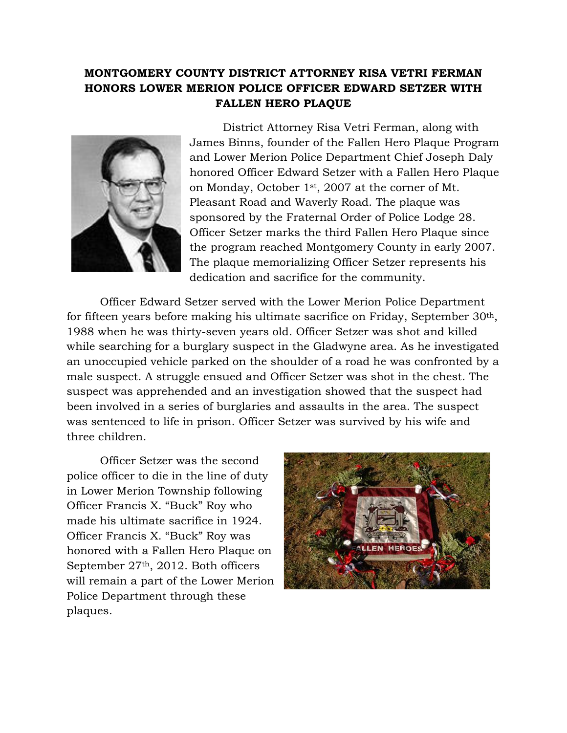## **MONTGOMERY COUNTY DISTRICT ATTORNEY RISA VETRI FERMAN HONORS LOWER MERION POLICE OFFICER EDWARD SETZER WITH FALLEN HERO PLAQUE**



District Attorney Risa Vetri Ferman, along with James Binns, founder of the Fallen Hero Plaque Program and Lower Merion Police Department Chief Joseph Daly honored Officer Edward Setzer with a Fallen Hero Plaque on Monday, October 1st, 2007 at the corner of Mt. Pleasant Road and Waverly Road. The plaque was sponsored by the Fraternal Order of Police Lodge 28. Officer Setzer marks the third Fallen Hero Plaque since the program reached Montgomery County in early 2007. The plaque memorializing Officer Setzer represents his dedication and sacrifice for the community.

Officer Edward Setzer served with the Lower Merion Police Department for fifteen years before making his ultimate sacrifice on Friday, September 30th, 1988 when he was thirty-seven years old. Officer Setzer was shot and killed while searching for a burglary suspect in the Gladwyne area. As he investigated an unoccupied vehicle parked on the shoulder of a road he was confronted by a male suspect. A struggle ensued and Officer Setzer was shot in the chest. The suspect was apprehended and an investigation showed that the suspect had been involved in a series of burglaries and assaults in the area. The suspect was sentenced to life in prison. Officer Setzer was survived by his wife and three children.

Officer Setzer was the second police officer to die in the line of duty in Lower Merion Township following Officer Francis X. "Buck" Roy who made his ultimate sacrifice in 1924. Officer Francis X. "Buck" Roy was honored with a Fallen Hero Plaque on September 27th, 2012. Both officers will remain a part of the Lower Merion Police Department through these plaques.